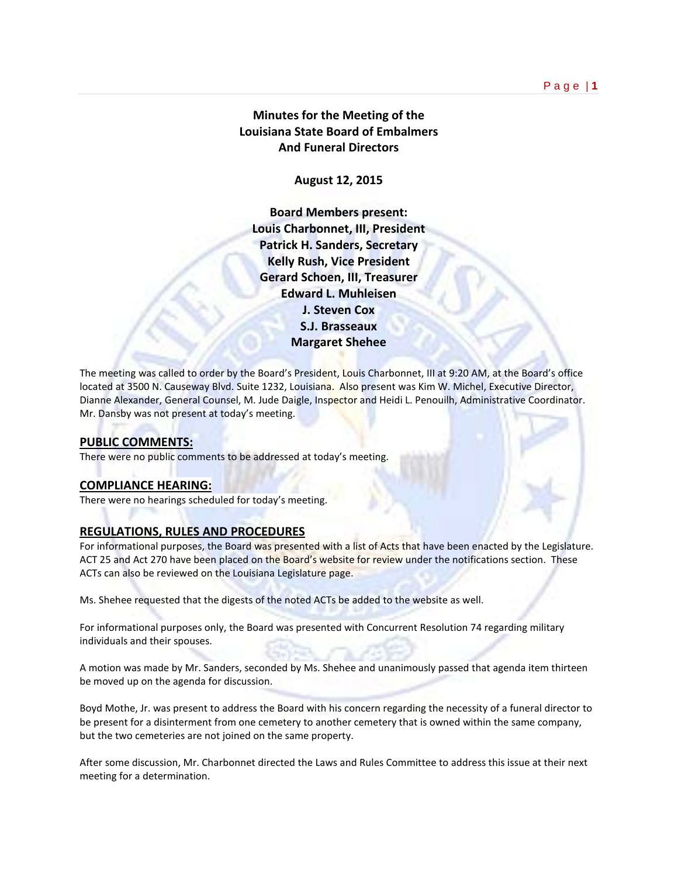# **Minutes for the Meeting of the Louisiana State Board of Embalmers And Funeral Directors**

**August 12, 2015**

**Board Members present: Louis Charbonnet, III, President Patrick H. Sanders, Secretary Kelly Rush, Vice President Gerard Schoen, III, Treasurer Edward L. Muhleisen J. Steven Cox S.J. Brasseaux Margaret Shehee** 

The meeting was called to order by the Board's President, Louis Charbonnet, III at 9:20 AM, at the Board's office located at 3500 N. Causeway Blvd. Suite 1232, Louisiana. Also present was Kim W. Michel, Executive Director, Dianne Alexander, General Counsel, M. Jude Daigle, Inspector and Heidi L. Penouilh, Administrative Coordinator. Mr. Dansby was not present at today's meeting.

# **PUBLIC COMMENTS:**

There were no public comments to be addressed at today's meeting.

## **COMPLIANCE HEARING:**

There were no hearings scheduled for today's meeting.

## **REGULATIONS, RULES AND PROCEDURES**

For informational purposes, the Board was presented with a list of Acts that have been enacted by the Legislature. ACT 25 and Act 270 have been placed on the Board's website for review under the notifications section. These ACTs can also be reviewed on the Louisiana Legislature page.

Ms. Shehee requested that the digests of the noted ACTs be added to the website as well.

For informational purposes only, the Board was presented with Concurrent Resolution 74 regarding military individuals and their spouses.

A motion was made by Mr. Sanders, seconded by Ms. Shehee and unanimously passed that agenda item thirteen be moved up on the agenda for discussion.

Boyd Mothe, Jr. was present to address the Board with his concern regarding the necessity of a funeral director to be present for a disinterment from one cemetery to another cemetery that is owned within the same company, but the two cemeteries are not joined on the same property.

After some discussion, Mr. Charbonnet directed the Laws and Rules Committee to address this issue at their next meeting for a determination.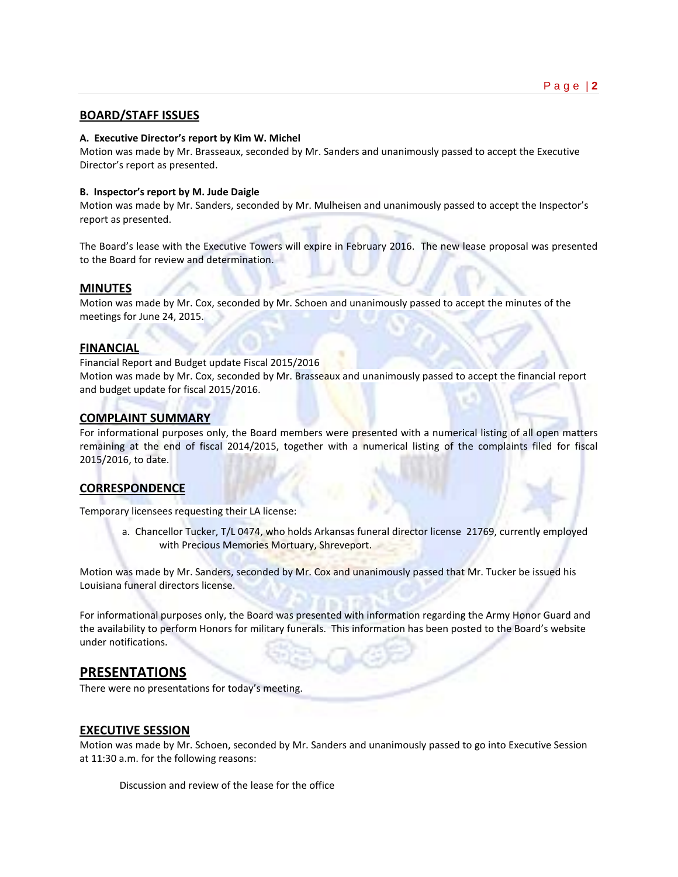# **BOARD/STAFF ISSUES**

#### **A. Executive Director's report by Kim W. Michel**

Motion was made by Mr. Brasseaux, seconded by Mr. Sanders and unanimously passed to accept the Executive Director's report as presented.

#### **B. Inspector's report by M. Jude Daigle**

Motion was made by Mr. Sanders, seconded by Mr. Mulheisen and unanimously passed to accept the Inspector's report as presented.

The Board's lease with the Executive Towers will expire in February 2016. The new lease proposal was presented to the Board for review and determination.

#### **MINUTES**

Motion was made by Mr. Cox, seconded by Mr. Schoen and unanimously passed to accept the minutes of the meetings for June 24, 2015.

#### **FINANCIAL**

Financial Report and Budget update Fiscal 2015/2016

Motion was made by Mr. Cox, seconded by Mr. Brasseaux and unanimously passed to accept the financial report and budget update for fiscal 2015/2016.

#### **COMPLAINT SUMMARY**

For informational purposes only, the Board members were presented with a numerical listing of all open matters remaining at the end of fiscal 2014/2015, together with a numerical listing of the complaints filed for fiscal 2015/2016, to date.

## **CORRESPONDENCE**

Temporary licensees requesting their LA license:

a. Chancellor Tucker, T/L 0474, who holds Arkansas funeral director license 21769, currently employed with Precious Memories Mortuary, Shreveport.

Motion was made by Mr. Sanders, seconded by Mr. Cox and unanimously passed that Mr. Tucker be issued his Louisiana funeral directors license.

For informational purposes only, the Board was presented with information regarding the Army Honor Guard and the availability to perform Honors for military funerals. This information has been posted to the Board's website under notifications.

# **PRESENTATIONS**

There were no presentations for today's meeting.

## **EXECUTIVE SESSION**

Motion was made by Mr. Schoen, seconded by Mr. Sanders and unanimously passed to go into Executive Session at 11:30 a.m. for the following reasons:

Discussion and review of the lease for the office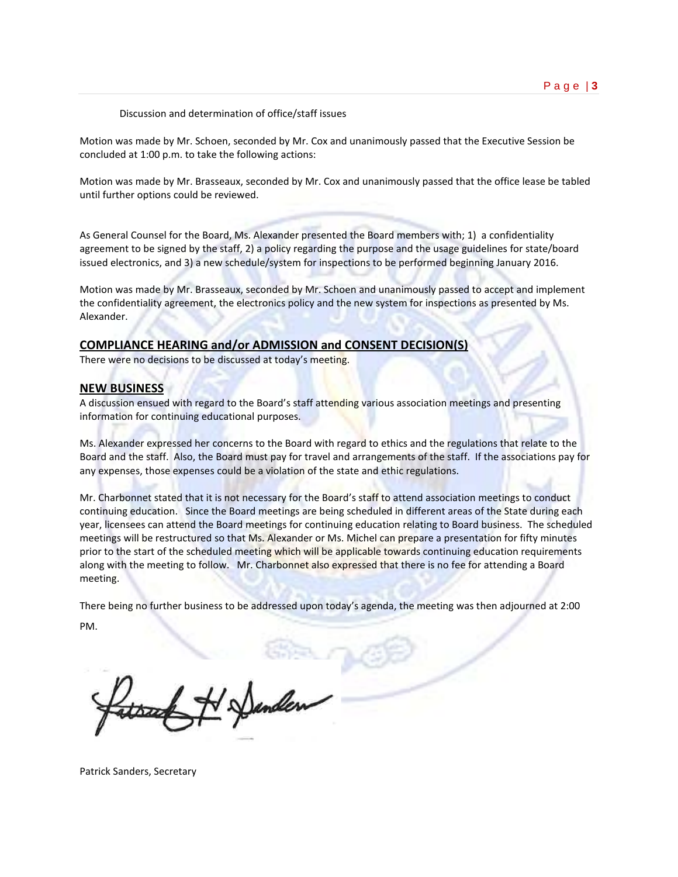Discussion and determination of office/staff issues

Motion was made by Mr. Schoen, seconded by Mr. Cox and unanimously passed that the Executive Session be concluded at 1:00 p.m. to take the following actions:

Motion was made by Mr. Brasseaux, seconded by Mr. Cox and unanimously passed that the office lease be tabled until further options could be reviewed.

As General Counsel for the Board, Ms. Alexander presented the Board members with; 1) a confidentiality agreement to be signed by the staff, 2) a policy regarding the purpose and the usage guidelines for state/board issued electronics, and 3) a new schedule/system for inspections to be performed beginning January 2016.

Motion was made by Mr. Brasseaux, seconded by Mr. Schoen and unanimously passed to accept and implement the confidentiality agreement, the electronics policy and the new system for inspections as presented by Ms. Alexander.

#### **COMPLIANCE HEARING and/or ADMISSION and CONSENT DECISION(S)**

There were no decisions to be discussed at today's meeting.

#### **NEW BUSINESS**

A discussion ensued with regard to the Board's staff attending various association meetings and presenting information for continuing educational purposes.

Ms. Alexander expressed her concerns to the Board with regard to ethics and the regulations that relate to the Board and the staff. Also, the Board must pay for travel and arrangements of the staff. If the associations pay for any expenses, those expenses could be a violation of the state and ethic regulations.

Mr. Charbonnet stated that it is not necessary for the Board's staff to attend association meetings to conduct continuing education. Since the Board meetings are being scheduled in different areas of the State during each year, licensees can attend the Board meetings for continuing education relating to Board business. The scheduled meetings will be restructured so that Ms. Alexander or Ms. Michel can prepare a presentation for fifty minutes prior to the start of the scheduled meeting which will be applicable towards continuing education requirements along with the meeting to follow. Mr. Charbonnet also expressed that there is no fee for attending a Board meeting.

There being no further business to be addressed upon today's agenda, the meeting was then adjourned at 2:00 PM.

H Danden

Patrick Sanders, Secretary